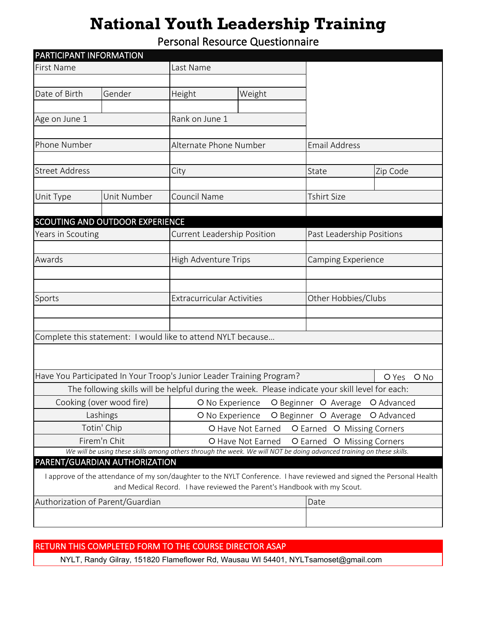## **National Youth Leadership Training**

Personal Resource Questionnaire

| PARTICIPANT INFORMATION                                                                                               |                                 |                                                                                                                      |                                                    |                      |                           |  |  |
|-----------------------------------------------------------------------------------------------------------------------|---------------------------------|----------------------------------------------------------------------------------------------------------------------|----------------------------------------------------|----------------------|---------------------------|--|--|
| <b>First Name</b>                                                                                                     |                                 | Last Name                                                                                                            |                                                    |                      |                           |  |  |
|                                                                                                                       |                                 |                                                                                                                      |                                                    |                      |                           |  |  |
| Date of Birth                                                                                                         | Gender                          | Height                                                                                                               | Weight                                             |                      |                           |  |  |
|                                                                                                                       | $\left  \cdot \right $          |                                                                                                                      |                                                    |                      |                           |  |  |
| Age on June 1                                                                                                         |                                 |                                                                                                                      | Rank on June 1                                     |                      |                           |  |  |
|                                                                                                                       |                                 |                                                                                                                      |                                                    |                      |                           |  |  |
| Phone Number                                                                                                          |                                 | Alternate Phone Number                                                                                               |                                                    | <b>Email Address</b> |                           |  |  |
|                                                                                                                       |                                 |                                                                                                                      |                                                    |                      |                           |  |  |
| <b>Street Address</b>                                                                                                 |                                 | City                                                                                                                 |                                                    | State                | Zip Code                  |  |  |
|                                                                                                                       |                                 |                                                                                                                      |                                                    |                      |                           |  |  |
| Unit Type<br>$\blacktriangledown$                                                                                     | Unit Number                     | Council Name                                                                                                         |                                                    | <b>Tshirt Size</b>   |                           |  |  |
|                                                                                                                       | SCOUTING AND OUTDOOR EXPERIENCE |                                                                                                                      |                                                    |                      |                           |  |  |
| Years in Scouting                                                                                                     |                                 |                                                                                                                      | <b>Current Leadership Position</b>                 |                      | Past Leadership Positions |  |  |
|                                                                                                                       |                                 |                                                                                                                      |                                                    |                      |                           |  |  |
| Awards                                                                                                                |                                 |                                                                                                                      | <b>High Adventure Trips</b>                        |                      | <b>Camping Experience</b> |  |  |
|                                                                                                                       |                                 |                                                                                                                      |                                                    |                      |                           |  |  |
|                                                                                                                       |                                 |                                                                                                                      |                                                    |                      |                           |  |  |
| Sports                                                                                                                |                                 |                                                                                                                      | <b>Extracurricular Activities</b>                  |                      | Other Hobbies/Clubs       |  |  |
|                                                                                                                       |                                 |                                                                                                                      |                                                    |                      |                           |  |  |
|                                                                                                                       |                                 |                                                                                                                      |                                                    |                      |                           |  |  |
|                                                                                                                       |                                 | Complete this statement: I would like to attend NYLT because                                                         |                                                    |                      |                           |  |  |
|                                                                                                                       |                                 |                                                                                                                      |                                                    |                      |                           |  |  |
|                                                                                                                       |                                 | Have You Participated In Your Troop's Junior Leader Training Program?                                                |                                                    |                      | $O$ No<br>O Yes           |  |  |
|                                                                                                                       |                                 | The following skills will be helpful during the week. Please indicate your skill level for each:                     |                                                    |                      |                           |  |  |
|                                                                                                                       | Cooking (over wood fire)        | O No Experience                                                                                                      |                                                    | O Beginner O Average | O Advanced                |  |  |
| Lashings                                                                                                              |                                 |                                                                                                                      | O No Experience<br>O Beginner O Average O Advanced |                      |                           |  |  |
| Totin' Chip                                                                                                           |                                 | <b>O</b> Earned O Missing Corners<br>O Have Not Earned                                                               |                                                    |                      |                           |  |  |
|                                                                                                                       | Firem'n Chit                    |                                                                                                                      | O Have Not Earned<br>O Earned O Missing Corners    |                      |                           |  |  |
|                                                                                                                       |                                 | We will be using these skills among others through the week. We will NOT be doing advanced training on these skills. |                                                    |                      |                           |  |  |
|                                                                                                                       | PARENT/GUARDIAN AUTHORIZATION   |                                                                                                                      |                                                    |                      |                           |  |  |
| I approve of the attendance of my son/daughter to the NYLT Conference. I have reviewed and signed the Personal Health |                                 |                                                                                                                      |                                                    |                      |                           |  |  |
| and Medical Record. I have reviewed the Parent's Handbook with my Scout.                                              |                                 |                                                                                                                      |                                                    |                      |                           |  |  |
| Authorization of Parent/Guardian                                                                                      |                                 |                                                                                                                      |                                                    | Date                 |                           |  |  |
|                                                                                                                       |                                 |                                                                                                                      |                                                    |                      |                           |  |  |
|                                                                                                                       |                                 |                                                                                                                      |                                                    |                      |                           |  |  |

#### RETURN THIS COMPLETED FORM TO THE COURSE DIRECTOR ASAP

NYLT, Randy Gilray, 151820 Flameflower Rd, Wausau WI 54401, NYLTsamoset@gmail.com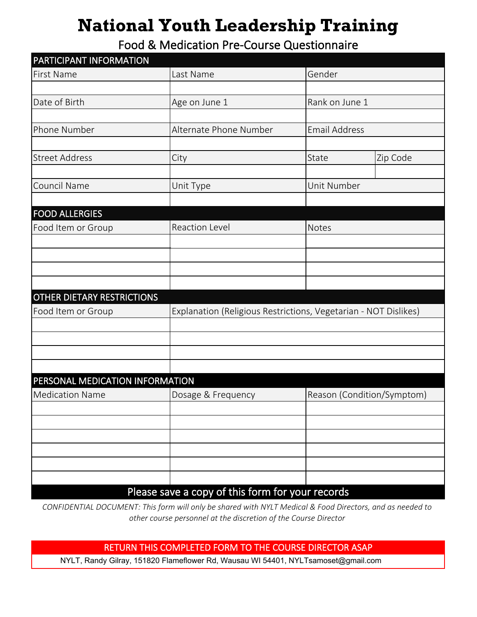# **National Youth Leadership Training**

Food & Medication Pre-Course Questionnaire

| PARTICIPANT INFORMATION         |                                                                 |                            |                     |  |
|---------------------------------|-----------------------------------------------------------------|----------------------------|---------------------|--|
| <b>First Name</b>               | Last Name                                                       | Gender                     |                     |  |
|                                 |                                                                 |                            | $\vert \cdot \vert$ |  |
| Date of Birth                   | Age on June 1                                                   | Rank on June 1             |                     |  |
|                                 |                                                                 |                            |                     |  |
| Phone Number                    | Alternate Phone Number                                          | <b>Email Address</b>       |                     |  |
|                                 |                                                                 |                            |                     |  |
| <b>Street Address</b>           | City                                                            | State                      | Zip Code            |  |
|                                 |                                                                 |                            |                     |  |
| Council Name                    | Unit Type                                                       | Unit Number                |                     |  |
|                                 | $\overline{\phantom{0}}$                                        |                            |                     |  |
| <b>FOOD ALLERGIES</b>           |                                                                 |                            |                     |  |
| Food Item or Group              | <b>Reaction Level</b>                                           | <b>Notes</b>               |                     |  |
|                                 |                                                                 |                            |                     |  |
|                                 |                                                                 |                            |                     |  |
|                                 |                                                                 |                            |                     |  |
|                                 |                                                                 |                            |                     |  |
| OTHER DIETARY RESTRICTIONS      |                                                                 |                            |                     |  |
| Food Item or Group              | Explanation (Religious Restrictions, Vegetarian - NOT Dislikes) |                            |                     |  |
|                                 |                                                                 |                            |                     |  |
|                                 |                                                                 |                            |                     |  |
|                                 |                                                                 |                            |                     |  |
|                                 |                                                                 |                            |                     |  |
| PERSONAL MEDICATION INFORMATION |                                                                 |                            |                     |  |
| <b>Medication Name</b>          | Dosage & Frequency                                              | Reason (Condition/Symptom) |                     |  |
|                                 |                                                                 |                            |                     |  |
|                                 |                                                                 |                            |                     |  |
|                                 |                                                                 |                            |                     |  |
|                                 |                                                                 |                            |                     |  |
|                                 |                                                                 |                            |                     |  |
|                                 |                                                                 |                            |                     |  |
|                                 | Please save a copy of this form for your records                |                            |                     |  |

*CONFIDENTIAL DOCUMENT: This form will only be shared with NYLT Medical & Food Directors, and as needed to other course personnel at the discretion of the Course Director* 

RETURN THIS COMPLETED FORM TO THE COURSE DIRECTOR ASAP

NYLT, Randy Gilray, 151820 Flameflower Rd, Wausau WI 54401, NYLTsamoset@gmail.com